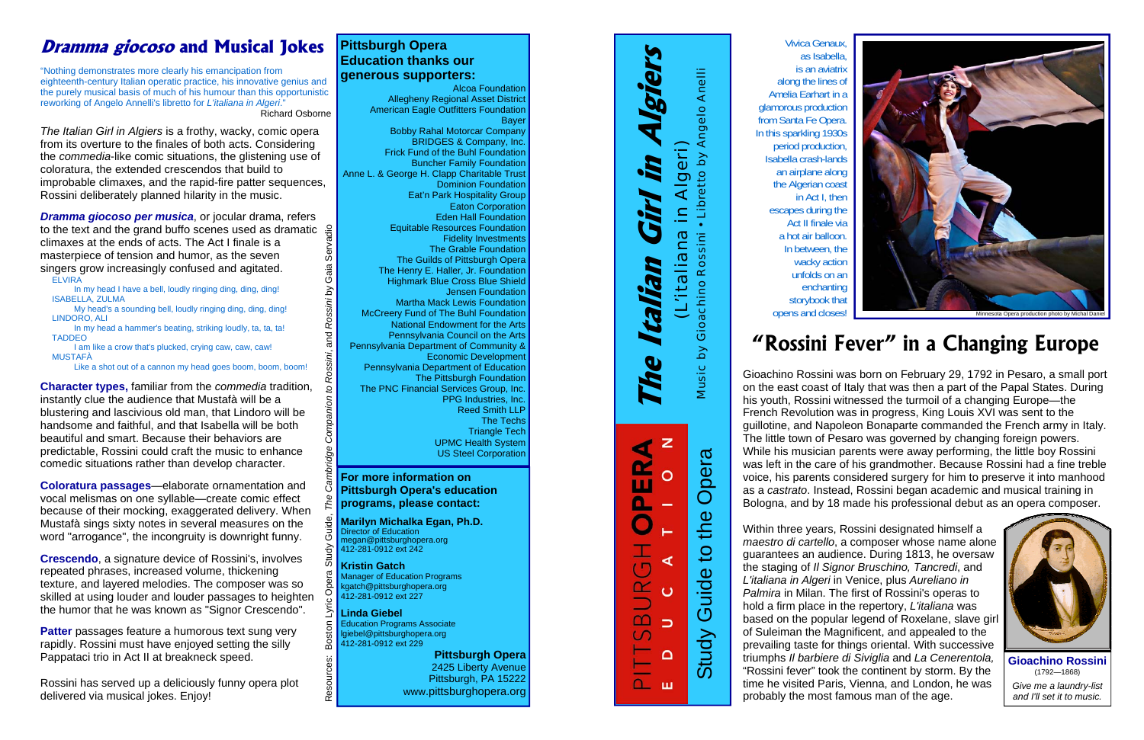as Isabella is an aviatrix along the lines of Amelia Earhart in a glamorous production from Santa Fe Opera. In this sparkling 1930s period production, Isabella crash-lands an airplane along the Algerian coast in Act I, then escapes during the Act II finale via a hot air balloon. In between, the wacky action unfolds on an enchanting storybook that opens and closes!

**Example 18 and 18 and 18 and 18 and 18 and 18 and 18 and 18 and 18 and 18 and 18 and 18 and 18 and 18 and 18 and 18 and 18 and 18 and 18 and 18 and 18 and 18 and 18 and 18 and 18 and 18 and 18 and 18 and 18 and 18 and 18** 

*Dramma giocoso per musica*, or jocular drama, refers Resources: Boston Lyric Opera Study Guide, *The Cambridge Companion to Rossini*, and *Rossini* by Gaia Servadio to the text and the grand buffo scenes used as dramatic  $\frac{9}{5}$ Serva climaxes at the ends of acts. The Act I finale is a masterpiece of tension and humor, as the seven Gaia singers grow increasingly confused and agitated. **ELVIRA** 

time he visited Paris, Vienna, and London, he was probably the most famous man of the age.



*Give me a laundry-list and I'll set it to music.* 

# **Dramma giocoso and Musical Jokes** Pittsburgh Opera **1986 Constantine Constantine Constantine Constantine Constantine Vivica Genaux, and Musical Jokes Pittsburgh Opera**

"Nothing demonstrates more clearly his emancipation from eighteenth-century Italian operatic practice, his innovative genius and the purely musical basis of much of his humour than this opportunistic reworking of Angelo Annelli's libretto for *L'italiana in Algeri*." Richard Osborne

*The Italian Girl in Algiers* is a frothy, wacky, comic opera from its overture to the finales of both acts. Considering the *commedia*-like comic situations, the glistening use of coloratura, the extended crescendos that build to improbable climaxes, and the rapid-fire patter sequences, Rossini deliberately planned hilarity in the music.

> 하 **Kristin Gatch**  Manager of Education Programs kgatch@pittsburghopera.org 412-281-0912 ext 227

 In my head I have a bell, loudly ringing ding, ding, ding! ISABELLA, ZULMA

 My head's a sounding bell, loudly ringing ding, ding, ding! LINDORO, ALI

In my head a hammer's beating, striking loudly, ta, ta, ta! **TADDEO** 

I am like a crow that's plucked, crying caw, caw, caw! MUSTAFÀ

Like a shot out of a cannon my head goes boom, boom, boom!

**Character types,** familiar from the *commedia* tradition, instantly clue the audience that Mustafà will be a blustering and lascivious old man, that Lindoro will be handsome and faithful, and that Isabella will be both beautiful and smart. Because their behaviors are predictable, Rossini could craft the music to enhance comedic situations rather than develop character.

**Coloratura passages**—elaborate ornamentation and vocal melismas on one syllable—create comic effect because of their mocking, exaggerated delivery. When Mustafà sings sixty notes in several measures on the word "arrogance", the incongruity is downright funny.

**Crescendo**, a signature device of Rossini's, involves repeated phrases, increased volume, thickening texture, and layered melodies. The composer was so skilled at using louder and louder passages to heighten the humor that he was known as "Signor Crescendo".

**Patter** passages feature a humorous text sung very rapidly. Rossini must have enjoyed setting the silly Pappataci trio in Act II at breakneck speed.

Rossini has served up a deliciously funny opera plot delivered via musical jokes. Enjoy!

# **Pittsburgh Opera Education thanks our generous supporters:**

Alcoa Foundation Allegheny Regional Asset District American Eagle Outfitters Foundation Bayer Bobby Rahal Motorcar Company BRIDGES & Company, Inc. Frick Fund of the Buhl Foundation Buncher Family Foundation Anne L. & George H. Clapp Charitable Trust Dominion Foundation Eat'n Park Hospitality Group Eaton Corporation Eden Hall Foundation Equitable Resources Foundation Fidelity Investments The Grable Foundation The Guilds of Pittsburgh Opera The Henry E. Haller, Jr. Foundation Highmark Blue Cross Blue Shield Jensen Foundation Martha Mack Lewis Foundation McCreery Fund of The Buhl Foundation National Endowment for the Arts Pennsylvania Council on the Arts Pennsylvania Department of Community & Economic Development Pennsylvania Department of Education The Pittsburgh Foundation The PNC Financial Services Group, Inc. PPG Industries, Inc. Reed Smith LLP The Techs Triangle Tech UPMC Health System US Steel Corporation

Rossini by

and

Companion

Ō

esources:

## **For more information on Pittsburgh Opera's education programs, please contact:**

**Marilyn Michalka Egan, Ph.D.** Director of Education megan@pittsburghopera.org 412-281-0912 ext 242

**Linda Giebel**  Education Programs Associate lgiebel@pittsburghopera.org 412-281-0912 ext 229

> **Pittsburgh Opera** 2425 Liberty Avenue Pittsburgh, PA 15222 www.pittsburghopera.org

**The Italian Girl in Algiers**  by Angelo Anelli Music by Gioachino Rossini • Libretto by Angelo Anelli *(L'italiana in Algeri)*  Algeri) Ñ Libretto <u>a</u> (L'italiana Rossini ralian pe